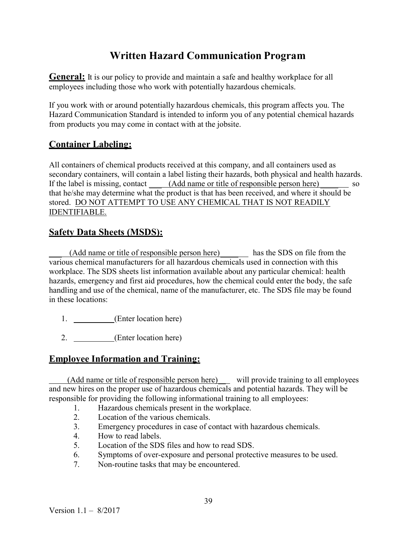## Written Hazard Communication Program

**General:** It is our policy to provide and maintain a safe and healthy workplace for all employees including those who work with potentially hazardous chemicals.

If you work with or around potentially hazardous chemicals, this program affects you. The Hazard Communication Standard is intended to inform you of any potential chemical hazards from products you may come in contact with at the jobsite.

## Container Labeling:

All containers of chemical products received at this company, and all containers used as secondary containers, will contain a label listing their hazards, both physical and health hazards. If the label is missing, contact (Add name or title of responsible person here) so that he/she may determine what the product is that has been received, and where it should be stored. DO NOT ATTEMPT TO USE ANY CHEMICAL THAT IS NOT READILY IDENTIFIABLE.

## Safety Data Sheets (MSDS):

(Add name or title of responsible person here) has the SDS on file from the various chemical manufacturers for all hazardous chemicals used in connection with this workplace. The SDS sheets list information available about any particular chemical: health hazards, emergency and first aid procedures, how the chemical could enter the body, the safe handling and use of the chemical, name of the manufacturer, etc. The SDS file may be found in these locations:

- 1. (Enter location here)
- 2. (Enter location here)

## Employee Information and Training:

 (Add name or title of responsible person here) will provide training to all employees and new hires on the proper use of hazardous chemicals and potential hazards. They will be responsible for providing the following informational training to all employees:

- 1. Hazardous chemicals present in the workplace.
- 2. Location of the various chemicals.
- 3. Emergency procedures in case of contact with hazardous chemicals.
- 4. How to read labels.
- 5. Location of the SDS files and how to read SDS.
- 6. Symptoms of over-exposure and personal protective measures to be used.
- 7. Non-routine tasks that may be encountered.